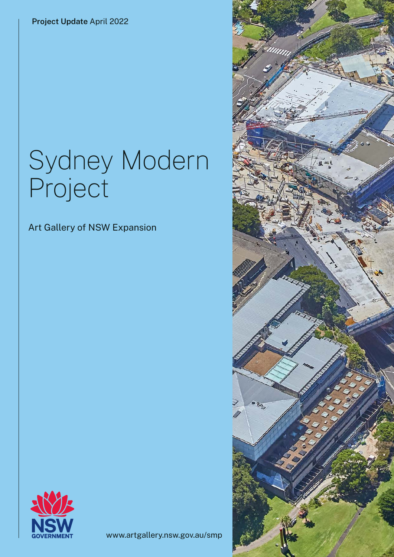**Project Update** April 2022

# Sydney Modern Project

Art Gallery of NSW Expansion



www.artgallery.nsw.gov.au/smp

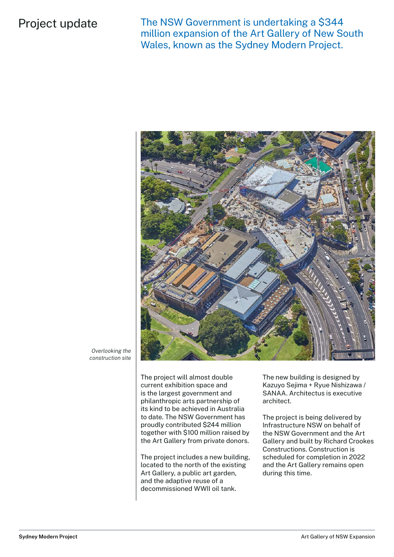### Project update

The NSW Government is undertaking a \$344 million expansion of the Art Gallery of New South Wales, known as the Sydney Modern Project.



*Overlooking the construction site*

> The project will almost double current exhibition space and is the largest government and philanthropic arts partnership of its kind to be achieved in Australia to date. The NSW Government has proudly contributed \$244 million together with \$100 million raised by the Art Gallery from private donors.

> The project includes a new building, located to the north of the existing Art Gallery, a public art garden, and the adaptive reuse of a decommissioned WWII oil tank.

The new building is designed by Kazuyo Sejima + Ryue Nishizawa / SANAA. Architectus is executive architect.

The project is being delivered by Infrastructure NSW on behalf of the NSW Government and the Art Gallery and built by Richard Crookes Constructions. Construction is scheduled for completion in 2022 and the Art Gallery remains open during this time.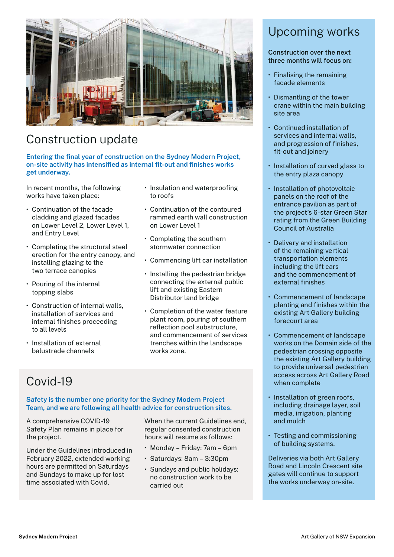

# Construction update

**Entering the final year of construction on the Sydney Modern Project, on-site activity has intensified as internal fit-out and finishes works get underway.** 

In recent months, the following works have taken place:

- Continuation of the facade cladding and glazed facades on Lower Level 2, Lower Level 1, and Entry Level
- Completing the structural steel erection for the entry canopy, and installing glazing to the two terrace canopies
- Pouring of the internal topping slabs
- Construction of internal walls, installation of services and internal finishes proceeding to all levels
- Installation of external balustrade channels
- Insulation and waterproofing to roofs
- Continuation of the contoured rammed earth wall construction on Lower Level 1
- Completing the southern stormwater connection
- Commencing lift car installation
- Installing the pedestrian bridge connecting the external public lift and existing Eastern Distributor land bridge
- Completion of the water feature plant room, pouring of southern reflection pool substructure, and commencement of services trenches within the landscape works zone.

# Covid-19

**Safety is the number one priority for the Sydney Modern Project Team, and we are following all health advice for construction sites.** 

A comprehensive COVID-19 Safety Plan remains in place for the project.

Under the Guidelines introduced in February 2022, extended working hours are permitted on Saturdays and Sundays to make up for lost time associated with Covid.

When the current Guidelines end, regular consented construction hours will resume as follows:

- Monday Friday: 7am 6pm
- Saturdays: 8am 3:30pm
- Sundays and public holidays: no construction work to be carried out

# Upcoming works

#### **Construction over the next three months will focus on:**

- Finalising the remaining facade elements
- Dismantling of the tower crane within the main building site area
- Continued installation of services and internal walls, and progression of finishes, fit-out and joinery
- Installation of curved glass to the entry plaza canopy
- Installation of photovoltaic panels on the roof of the entrance pavilion as part of the project's 6-star Green Star rating from the Green Building Council of Australia
- Delivery and installation of the remaining vertical transportation elements including the lift cars and the commencement of external finishes
- Commencement of landscape planting and finishes within the existing Art Gallery building forecourt area
- Commencement of landscape works on the Domain side of the pedestrian crossing opposite the existing Art Gallery building to provide universal pedestrian access across Art Gallery Road when complete
- Installation of green roofs, including drainage layer, soil media, irrigation, planting and mulch
- Testing and commissioning of building systems.

Deliveries via both Art Gallery Road and Lincoln Crescent site gates will continue to support the works underway on-site.